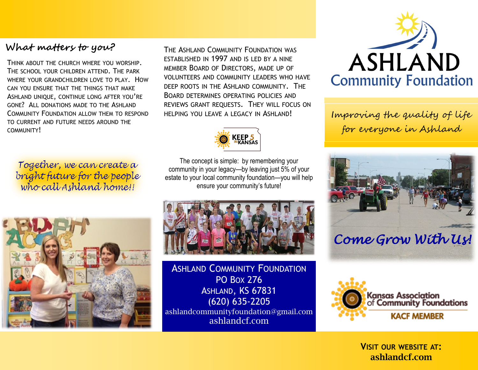#### **What matters to you?**

THINK ABOUT THE CHURCH WHERE YOU WORSHIP. THE SCHOOL YOUR CHILDREN ATTEND. THE PARK WHERE YOUR GRANDCHILDREN LOVE TO PLAY. HOW CAN YOU ENSURE THAT THE THINGS THAT MAKE ASHLAND UNIQUE, CONTINUE LONG AFTER YOU'RE GONE? ALL DONATIONS MADE TO THE ASHLAND COMMUNITY FOUNDATION ALLOW THEM TO RESPOND TO CURRENT AND FUTURE NEEDS AROUND THE COMMUNITY!

Together, we can create a bright future for the people who call Ashland home!!



THE ASHLAND COMMUNITY FOUNDATION WAS ESTABLISHED IN 1997 AND IS LED BY A NINE MEMBER BOARD OF DIRECTORS, MADE UP OF VOLUNTEERS AND COMMUNITY LEADERS WHO HAVE DEEP ROOTS IN THE ASHLAND COMMUNITY. THE BOARD DETERMINES OPERATING POLICIES AND REVIEWS GRANT REQUESTS. THEY WILL FOCUS ON HELPING YOU LEAVE A LEGACY IN ASHLAND!



The concept is simple: by remembering your community in your legacy—by leaving just 5% of your estate to your local community foundation—you will help ensure your community's future!



**ASHLAND COMMUNITY FOUNDATION** PO BOX 276 ASHLAND, KS 67831 (620) 635-2205 ashlandcommunityfoundation@gmail.com ashlandcf.com



Improving the quality of life for everyone in Ashland





**VISIT OUR WEBSITE AT: ashlandcf.com**